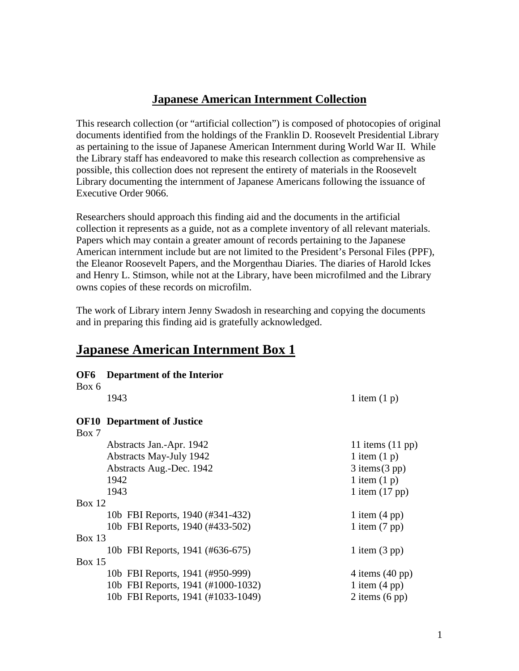### **Japanese American Internment Collection**

This research collection (or "artificial collection") is composed of photocopies of original documents identified from the holdings of the Franklin D. Roosevelt Presidential Library as pertaining to the issue of Japanese American Internment during World War II. While the Library staff has endeavored to make this research collection as comprehensive as possible, this collection does not represent the entirety of materials in the Roosevelt Library documenting the internment of Japanese Americans following the issuance of Executive Order 9066.

Researchers should approach this finding aid and the documents in the artificial collection it represents as a guide, not as a complete inventory of all relevant materials. Papers which may contain a greater amount of records pertaining to the Japanese American internment include but are not limited to the President's Personal Files (PPF), the Eleanor Roosevelt Papers, and the Morgenthau Diaries. The diaries of Harold Ickes and Henry L. Stimson, while not at the Library, have been microfilmed and the Library owns copies of these records on microfilm.

The work of Library intern Jenny Swadosh in researching and copying the documents and in preparing this finding aid is gratefully acknowledged.

## **Japanese American Internment Box 1**

| OF <sub>6</sub> | Department of the Interior         |                            |
|-----------------|------------------------------------|----------------------------|
| Box 6           |                                    |                            |
|                 | 1943                               | 1 item $(1 p)$             |
|                 | <b>OF10</b> Department of Justice  |                            |
| Box 7           |                                    |                            |
|                 | Abstracts Jan.-Apr. 1942           | 11 items $(11 \text{ pp})$ |
|                 | <b>Abstracts May-July 1942</b>     | 1 item $(1 p)$             |
|                 | Abstracts Aug.-Dec. 1942           | $3$ items $(3$ pp)         |
|                 | 1942                               | 1 item $(1 p)$             |
|                 | 1943                               | 1 item $(17 \text{ pp})$   |
| Box $12$        |                                    |                            |
|                 | 10b FBI Reports, 1940 (#341-432)   | 1 item $(4 \text{ pp})$    |
|                 | 10b FBI Reports, 1940 (#433-502)   | 1 item $(7 \text{ pp})$    |
| <b>Box 13</b>   |                                    |                            |
|                 | 10b FBI Reports, 1941 (#636-675)   | 1 item $(3 \text{ pp})$    |
| Box $15$        |                                    |                            |
|                 | 10b FBI Reports, 1941 (#950-999)   | 4 items $(40 \text{ pp})$  |
|                 | 10b FBI Reports, 1941 (#1000-1032) | 1 item $(4 \text{ pp})$    |
|                 | 10b FBI Reports, 1941 (#1033-1049) | 2 items $(6 \text{ pp})$   |
|                 |                                    |                            |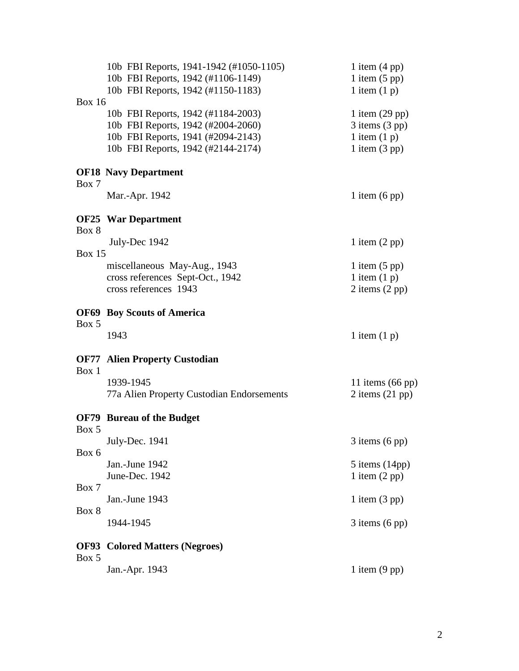|               | 10b FBI Reports, 1941-1942 (#1050-1105)   | 1 item $(4 \text{ pp})$    |
|---------------|-------------------------------------------|----------------------------|
|               | 10b FBI Reports, 1942 (#1106-1149)        | 1 item $(5 \text{ pp})$    |
|               | 10b FBI Reports, 1942 (#1150-1183)        | 1 item $(1 p)$             |
| <b>Box 16</b> |                                           |                            |
|               | 10b FBI Reports, 1942 (#1184-2003)        | 1 item $(29$ pp)           |
|               | 10b FBI Reports, 1942 (#2004-2060)        | $3$ items $(3$ pp)         |
|               | 10b FBI Reports, 1941 (#2094-2143)        | 1 item $(1 p)$             |
|               | 10b FBI Reports, 1942 (#2144-2174)        | 1 item $(3 \text{ pp})$    |
| Box 7         | <b>OF18 Navy Department</b>               |                            |
|               | Mar.-Apr. 1942                            | 1 item $(6 \text{ pp})$    |
| Box 8         | <b>OF25</b> War Department                |                            |
| <b>Box 15</b> | July-Dec 1942                             | 1 item $(2 \text{ pp})$    |
|               | miscellaneous May-Aug., 1943              | 1 item $(5 \text{ pp})$    |
|               | cross references Sept-Oct., 1942          | 1 item $(1 p)$             |
|               | cross references 1943                     | $2$ items $(2$ pp)         |
|               | <b>OF69 Boy Scouts of America</b>         |                            |
| Box 5         | 1943                                      | 1 item $(1 p)$             |
| Box 1         | <b>OF77 Alien Property Custodian</b>      |                            |
|               | 1939-1945                                 | 11 items $(66 \text{ pp})$ |
|               | 77a Alien Property Custodian Endorsements | 2 items $(21 \text{ pp})$  |
| Box 5         | <b>OF79</b> Bureau of the Budget          |                            |
|               | July-Dec. 1941                            | $3$ items $(6 \text{ pp})$ |
| Box 6         |                                           |                            |
|               | Jan.-June 1942                            | $5$ items $(14pp)$         |
|               | June-Dec. 1942                            | 1 item $(2 \text{ pp})$    |
| Box 7         | Jan.-June 1943                            |                            |
| Box 8         |                                           | 1 item $(3 \text{ pp})$    |
|               | 1944-1945                                 | $3$ items $(6 \text{ pp})$ |
| Box 5         | <b>OF93</b> Colored Matters (Negroes)     |                            |
|               | Jan.-Apr. 1943                            | 1 item $(9$ pp)            |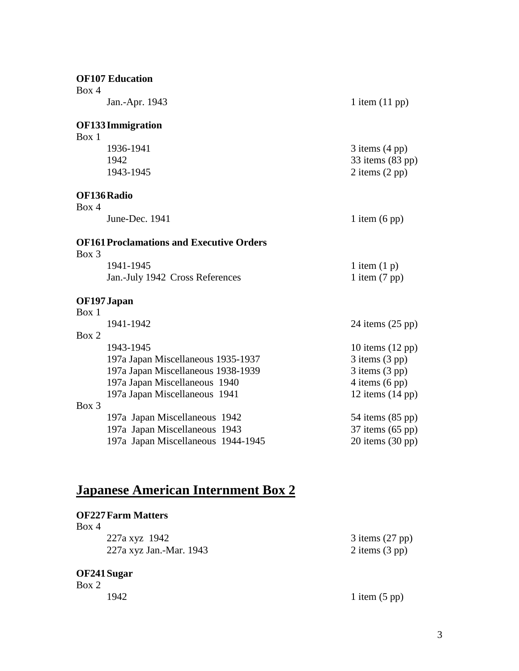|       | <b>OF107 Education</b>                          |                            |
|-------|-------------------------------------------------|----------------------------|
| Box 4 | Jan.-Apr. 1943                                  | 1 item $(11$ pp)           |
|       | <b>OF133 Immigration</b>                        |                            |
| Box 1 |                                                 |                            |
|       | 1936-1941                                       | $3$ items $(4 \text{ pp})$ |
|       | 1942                                            | 33 items (83 pp)           |
|       | 1943-1945                                       | 2 items $(2 \text{ pp})$   |
|       | OF136 Radio                                     |                            |
| Box 4 |                                                 |                            |
|       | June-Dec. 1941                                  | 1 item $(6 \text{ pp})$    |
|       | <b>OF161 Proclamations and Executive Orders</b> |                            |
| Box 3 |                                                 |                            |
|       | 1941-1945                                       | 1 item $(1 p)$             |
|       | Jan.-July 1942 Cross References                 | 1 item $(7 \text{ pp})$    |
|       | OF197 Japan                                     |                            |
| Box 1 |                                                 |                            |
|       | 1941-1942                                       | 24 items $(25 \text{ pp})$ |
| Box 2 |                                                 |                            |
|       | 1943-1945                                       | 10 items $(12 \text{ pp})$ |
|       | 197a Japan Miscellaneous 1935-1937              | $3$ items $(3$ pp)         |
|       | 197a Japan Miscellaneous 1938-1939              | $3$ items $(3$ pp)         |
|       | 197a Japan Miscellaneous 1940                   | 4 items $(6 \text{ pp})$   |
|       | 197a Japan Miscellaneous 1941                   | 12 items $(14 \text{ pp})$ |
| Box 3 |                                                 |                            |
|       | 197a Japan Miscellaneous 1942                   | 54 items (85 pp)           |
|       | 197a Japan Miscellaneous 1943                   | $37$ items $(65$ pp)       |
|       | 197a Japan Miscellaneous 1944-1945              | $20$ items $(30$ pp)       |

# **Japanese American Internment Box 2**

### **OF227Farm Matters**

| Box 4 |                         |  |
|-------|-------------------------|--|
|       | 227a xyz 1942           |  |
|       | 227a xyz Jan.-Mar. 1943 |  |

#### **OF241Sugar**

Box 2

 $3$  items (27 pp)  $2$  items  $(3$  pp)

1942 1 item (5 pp)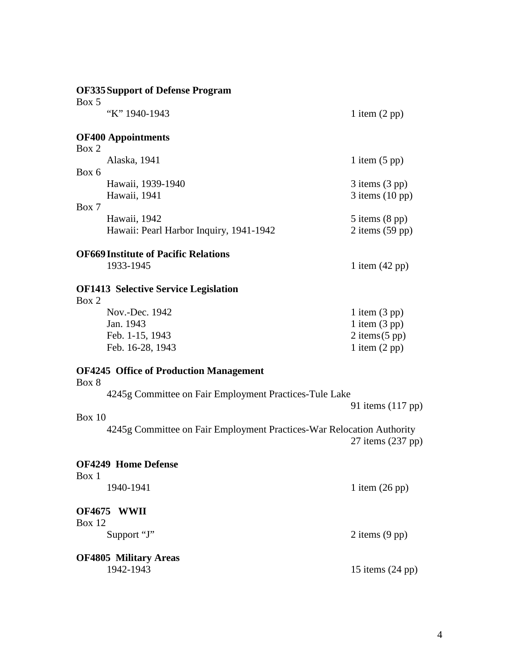|               | <b>OF335 Support of Defense Program</b>                               |                                                   |
|---------------|-----------------------------------------------------------------------|---------------------------------------------------|
| Box 5         | "K" 1940-1943                                                         | 1 item $(2 pp)$                                   |
| Box 2         | <b>OF400 Appointments</b>                                             |                                                   |
|               | Alaska, 1941                                                          | 1 item $(5 \text{ pp})$                           |
| Box 6         | Hawaii, 1939-1940<br>Hawaii, 1941                                     | $3$ items $(3$ pp)<br>$3$ items $(10 \text{ pp})$ |
| Box 7         |                                                                       |                                                   |
|               | Hawaii, 1942<br>Hawaii: Pearl Harbor Inquiry, 1941-1942               | $5$ items $(8 \text{ pp})$<br>2 items $(59$ pp)   |
|               | <b>OF669 Institute of Pacific Relations</b><br>1933-1945              | 1 item $(42 \text{ pp})$                          |
| Box 2         | <b>OF1413 Selective Service Legislation</b>                           |                                                   |
|               | Nov.-Dec. 1942                                                        | 1 item $(3 \text{ pp})$                           |
|               | Jan. 1943<br>Feb. 1-15, 1943                                          | 1 item $(3 \text{ pp})$<br>$2$ items $(5$ pp)     |
|               | Feb. 16-28, 1943                                                      | 1 item $(2 \text{ pp})$                           |
| Box 8         | <b>OF4245 Office of Production Management</b>                         |                                                   |
|               | 4245g Committee on Fair Employment Practices-Tule Lake                |                                                   |
| Box 10        |                                                                       | 91 items (117 pp)                                 |
|               | 4245g Committee on Fair Employment Practices-War Relocation Authority | 27 items (237 pp)                                 |
| Box 1         | <b>OF4249 Home Defense</b>                                            |                                                   |
|               | 1940-1941                                                             | 1 item $(26 \text{ pp})$                          |
| <b>Box 12</b> | OF4675 WWII                                                           |                                                   |
|               | Support "J"                                                           | 2 items $(9$ pp)                                  |
|               | <b>OF4805 Military Areas</b>                                          |                                                   |
|               | 1942-1943                                                             | 15 items $(24 \text{ pp})$                        |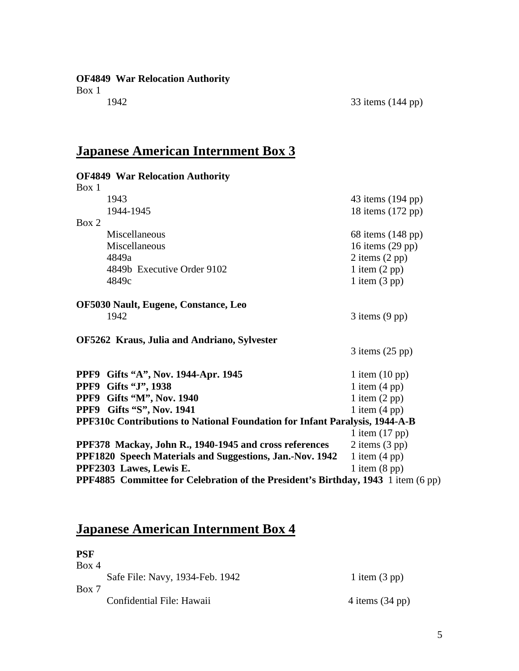**OF4849 War Relocation Authority**

Box 1

## **Japanese American Internment Box 3**

| <b>OF4849 War Relocation Authority</b>                                            |                          |
|-----------------------------------------------------------------------------------|--------------------------|
| Box 1                                                                             |                          |
| 1943                                                                              | 43 items (194 pp)        |
| 1944-1945                                                                         | 18 items (172 pp)        |
| Box 2                                                                             |                          |
| Miscellaneous                                                                     | 68 items (148 pp)        |
| Miscellaneous                                                                     | 16 items $(29$ pp)       |
| 4849a                                                                             | 2 items $(2 \text{ pp})$ |
| 4849b Executive Order 9102                                                        | 1 item $(2 \text{ pp})$  |
| 4849c                                                                             | 1 item $(3 \text{ pp})$  |
|                                                                                   |                          |
| <b>OF5030 Nault, Eugene, Constance, Leo</b>                                       |                          |
| 1942                                                                              | $3$ items $(9$ pp)       |
|                                                                                   |                          |
| OF5262 Kraus, Julia and Andriano, Sylvester                                       |                          |
|                                                                                   | $3$ items $(25$ pp)      |
| PPF9 Gifts "A", Nov. 1944-Apr. 1945                                               | 1 item $(10 \text{ pp})$ |
| PPF9 Gifts "J", 1938                                                              | 1 item $(4 \text{ pp})$  |
| PPF9 Gifts "M", Nov. 1940                                                         | 1 item $(2 \text{ pp})$  |
| PPF9 Gifts "S", Nov. 1941                                                         | 1 item $(4 \text{ pp})$  |
| PPF310c Contributions to National Foundation for Infant Paralysis, 1944-A-B       |                          |
|                                                                                   | 1 item $(17 \text{ pp})$ |
| PPF378 Mackay, John R., 1940-1945 and cross references                            | $2$ items $(3$ pp)       |
| PPF1820 Speech Materials and Suggestions, Jan.-Nov. 1942                          | 1 item $(4 \text{ pp})$  |
| PPF2303 Lawes, Lewis E.                                                           | 1 item $(8 \text{ pp})$  |
| PPF4885 Committee for Celebration of the President's Birthday, 1943 1 item (6 pp) |                          |
|                                                                                   |                          |

## **Japanese American Internment Box 4**

| <b>PSF</b> |                                 |                           |
|------------|---------------------------------|---------------------------|
| Box 4      |                                 |                           |
|            | Safe File: Navy, 1934-Feb. 1942 | 1 item $(3 \text{ pp})$   |
| Box 7      |                                 |                           |
|            | Confidential File: Hawaii       | 4 items $(34 \text{ pp})$ |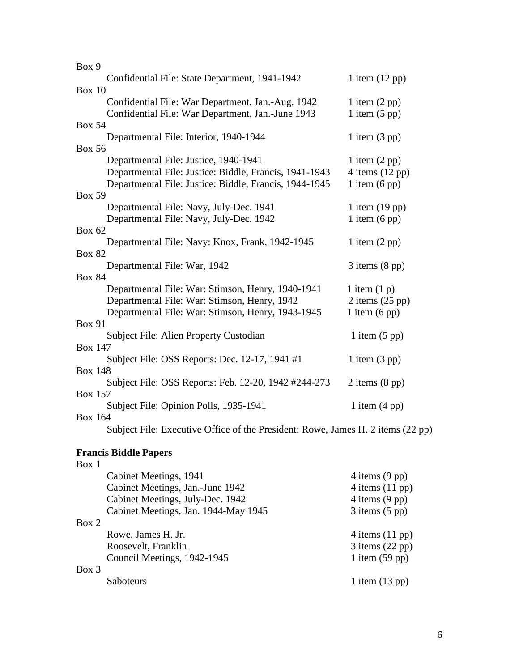| Box 9                                                                           |                            |
|---------------------------------------------------------------------------------|----------------------------|
| Confidential File: State Department, 1941-1942                                  | 1 item $(12 \text{ pp})$   |
| <b>Box 10</b>                                                                   |                            |
| Confidential File: War Department, Jan.-Aug. 1942                               | 1 item $(2 \text{ pp})$    |
| Confidential File: War Department, Jan.-June 1943                               | 1 item $(5$ pp)            |
| <b>Box 54</b>                                                                   |                            |
| Departmental File: Interior, 1940-1944                                          | 1 item $(3 \text{ pp})$    |
| <b>Box 56</b>                                                                   |                            |
| Departmental File: Justice, 1940-1941                                           | 1 item $(2 \text{ pp})$    |
| Departmental File: Justice: Biddle, Francis, 1941-1943                          | $4$ items $(12$ pp)        |
| Departmental File: Justice: Biddle, Francis, 1944-1945                          | 1 item $(6 \text{ pp})$    |
| <b>Box 59</b>                                                                   |                            |
| Departmental File: Navy, July-Dec. 1941                                         | 1 item $(19$ pp)           |
| Departmental File: Navy, July-Dec. 1942                                         | 1 item $(6 \text{ pp})$    |
| <b>Box 62</b>                                                                   |                            |
| Departmental File: Navy: Knox, Frank, 1942-1945                                 | 1 item $(2 \text{ pp})$    |
| <b>Box 82</b>                                                                   |                            |
| Departmental File: War, 1942                                                    | $3$ items $(8 \text{ pp})$ |
| <b>Box 84</b>                                                                   |                            |
| Departmental File: War: Stimson, Henry, 1940-1941                               | 1 item $(1 p)$             |
| Departmental File: War: Stimson, Henry, 1942                                    | $2$ items $(25$ pp)        |
| Departmental File: War: Stimson, Henry, 1943-1945                               | 1 item $(6 \text{ pp})$    |
| <b>Box 91</b>                                                                   |                            |
| Subject File: Alien Property Custodian                                          | 1 item $(5 \text{ pp})$    |
| <b>Box 147</b>                                                                  |                            |
| Subject File: OSS Reports: Dec. 12-17, 1941 #1                                  | 1 item $(3 \text{ pp})$    |
| <b>Box 148</b>                                                                  |                            |
| Subject File: OSS Reports: Feb. 12-20, 1942 #244-273                            | 2 items $(8 \text{ pp})$   |
| <b>Box 157</b>                                                                  |                            |
| Subject File: Opinion Polls, 1935-1941                                          | 1 item $(4 \text{ pp})$    |
| <b>Box 164</b>                                                                  |                            |
| Subject File: Executive Office of the President: Rowe, James H. 2 items (22 pp) |                            |
|                                                                                 |                            |
| <b>Francis Biddle Papers</b>                                                    |                            |

#### l<mark>a</mark>gie Papers Box 1 Cabinet Meetings, 1941 4 items (9 pp)<br>
Cabinet Meetings, Jan.-June 1942 4 items (11 pp) Cabinet Meetings, Jan.-June 1942<br>
Cabinet Meetings, July-Dec. 1942<br>
4 items (9 pp) Cabinet Meetings, July-Dec. 1942 Cabinet Meetings, Jan. 1944-May 1945 3 items (5 pp) Box 2 Rowe, James H. Jr. 4 items (11 pp)<br>Roosevelt, Franklin 3 items (22 pp) Roosevelt, Franklin 3 items (22 pp)<br>Council Meetings, 1942-1945 1 item (59 pp) Council Meetings, 1942-1945 Box 3 Saboteurs 1 item (13 pp)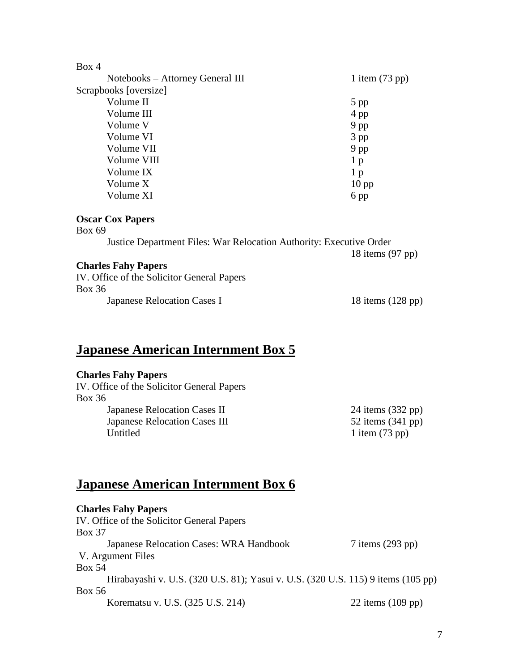| Box 4                            |                          |
|----------------------------------|--------------------------|
| Notebooks – Attorney General III | 1 item $(73 \text{ pp})$ |
| Scrapbooks [oversize]            |                          |
| Volume II                        | $5$ pp                   |
| Volume III                       | 4 pp                     |
| Volume V                         | $9$ pp                   |
| Volume VI                        | $3$ pp                   |
| Volume VII                       | 9 pp                     |
| Volume VIII                      | 1 <sub>p</sub>           |
| Volume IX                        | 1 <sub>p</sub>           |
| Volume X                         | $10$ pp                  |
| Volume XI                        | 6 pp                     |
| <b>Oscar Cox Papers</b>          |                          |

Box 69

Justice Department Files: War Relocation Authority: Executive Order

#### **Charles Fahy Papers**

| IV. Office of the Solicitor General Papers |                             |
|--------------------------------------------|-----------------------------|
| Box 36                                     |                             |
| Japanese Relocation Cases I                | 18 items $(128 \text{ pp})$ |

## **Japanese American Internment Box 5**

#### **Charles Fahy Papers**

IV. Office of the Solicitor General Papers Box 36 Japanese Relocation Cases II 24 items (332 pp)<br>Japanese Relocation Cases III 52 items (341 pp) Japanese Relocation Cases III Untitled 1 item (73 pp)

## **Japanese American Internment Box 6**

| <b>Charles Fahy Papers</b>                                                       |                             |
|----------------------------------------------------------------------------------|-----------------------------|
| IV. Office of the Solicitor General Papers                                       |                             |
| <b>Box 37</b>                                                                    |                             |
| Japanese Relocation Cases: WRA Handbook                                          | $7$ items $(293$ pp)        |
| V. Argument Files                                                                |                             |
| Box 54                                                                           |                             |
| Hirabayashi v. U.S. (320 U.S. 81); Yasui v. U.S. (320 U.S. 115) 9 items (105 pp) |                             |
| <b>Box 56</b>                                                                    |                             |
| Korematsu v. U.S. (325 U.S. 214)                                                 | 22 items $(109 \text{ pp})$ |

18 items (97 pp)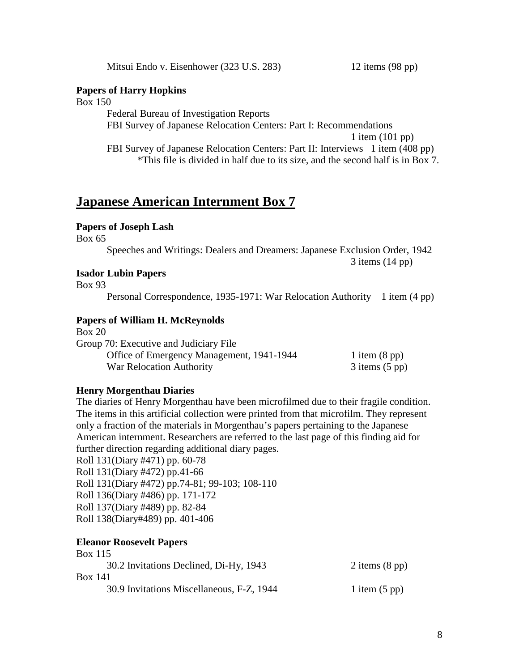Mitsui Endo v. Eisenhower (323 U.S. 283) 12 items (98 pp)

#### **Papers of Harry Hopkins**

Box 150

Federal Bureau of Investigation Reports FBI Survey of Japanese Relocation Centers: Part I: Recommendations 1 item (101 pp) FBI Survey of Japanese Relocation Centers: Part II: Interviews 1 item (408 pp) \*This file is divided in half due to its size, and the second half is in Box 7.

### **Japanese American Internment Box 7**

#### **Papers of Joseph Lash**

Box 65

Speeches and Writings: Dealers and Dreamers: Japanese Exclusion Order, 1942 3 items (14 pp)

#### **Isador Lubin Papers**

Box 93

Personal Correspondence, 1935-1971: War Relocation Authority 1 item (4 pp)

#### **Papers of William H. McReynolds**

Box 20

| Group 70: Executive and Judiciary File    |                         |
|-------------------------------------------|-------------------------|
| Office of Emergency Management, 1941-1944 | 1 item $(8 \text{ pp})$ |
| War Relocation Authority                  | $3$ items $(5$ pp)      |

#### **Henry Morgenthau Diaries**

The diaries of Henry Morgenthau have been microfilmed due to their fragile condition. The items in this artificial collection were printed from that microfilm. They represent only a fraction of the materials in Morgenthau's papers pertaining to the Japanese American internment. Researchers are referred to the last page of this finding aid for further direction regarding additional diary pages.

Roll 131(Diary #471) pp. 60-78 Roll 131(Diary #472) pp.41-66 Roll 131(Diary #472) pp.74-81; 99-103; 108-110 Roll 136(Diary #486) pp. 171-172 Roll 137(Diary #489) pp. 82-84 Roll 138(Diary#489) pp. 401-406

#### **Eleanor Roosevelt Papers**  $D_{\text{max}}$  115

| $DOX$ 11.                                 |                          |
|-------------------------------------------|--------------------------|
| 30.2 Invitations Declined, Di-Hy, 1943    | 2 items $(8 \text{ pp})$ |
| <b>Box 141</b>                            |                          |
| 30.9 Invitations Miscellaneous, F-Z, 1944 | 1 item $(5 \text{ pp})$  |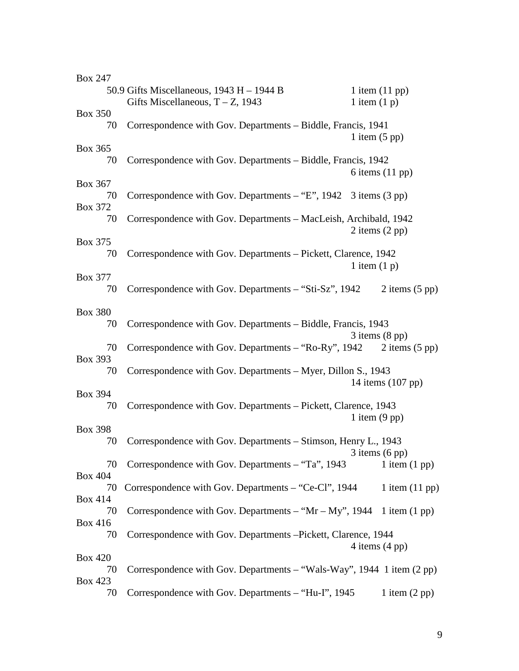| <b>Box 247</b> |                                                                                    |                                    |                           |
|----------------|------------------------------------------------------------------------------------|------------------------------------|---------------------------|
|                | 50.9 Gifts Miscellaneous, $1943 H - 1944 B$<br>Gifts Miscellaneous, $T - Z$ , 1943 | 1 item $(11$ pp)<br>1 item $(1 p)$ |                           |
| <b>Box 350</b> |                                                                                    |                                    |                           |
| 70             | Correspondence with Gov. Departments - Biddle, Francis, 1941                       | 1 item $(5 \text{ pp})$            |                           |
| Box 365        |                                                                                    |                                    |                           |
| 70             | Correspondence with Gov. Departments - Biddle, Francis, 1942                       |                                    | 6 items $(11 \text{ pp})$ |
| Box 367        |                                                                                    |                                    |                           |
| 70             | Correspondence with Gov. Departments $-$ "E", 1942 3 items (3 pp)                  |                                    |                           |
| Box 372        |                                                                                    |                                    |                           |
| 70             | Correspondence with Gov. Departments - MacLeish, Archibald, 1942                   | 2 items $(2 \text{ pp})$           |                           |
| Box 375        |                                                                                    |                                    |                           |
| 70             | Correspondence with Gov. Departments - Pickett, Clarence, 1942                     | 1 item $(1 p)$                     |                           |
| <b>Box 377</b> |                                                                                    |                                    |                           |
| 70             | Correspondence with Gov. Departments - "Sti-Sz", 1942                              |                                    | 2 items $(5 \text{ pp})$  |
|                |                                                                                    |                                    |                           |
| <b>Box 380</b> |                                                                                    |                                    |                           |
| 70             | Correspondence with Gov. Departments – Biddle, Francis, 1943                       |                                    |                           |
| 70             | Correspondence with Gov. Departments – "Ro-Ry", 1942                               | $3$ items $(8 \text{ pp})$         | 2 items $(5 \text{ pp})$  |
| Box 393        |                                                                                    |                                    |                           |
| 70             | Correspondence with Gov. Departments - Myer, Dillon S., 1943                       |                                    |                           |
| <b>Box 394</b> |                                                                                    |                                    | 14 items (107 pp)         |
| 70             | Correspondence with Gov. Departments - Pickett, Clarence, 1943                     |                                    |                           |
|                |                                                                                    | 1 item $(9$ pp)                    |                           |
| <b>Box 398</b> |                                                                                    |                                    |                           |
| 70             | Correspondence with Gov. Departments - Stimson, Henry L., 1943                     |                                    |                           |
|                |                                                                                    | $3$ items $(6$ pp $)$              |                           |
| 70             | Correspondence with Gov. Departments - "Ta", 1943                                  |                                    | 1 item $(1$ pp)           |
| <b>Box 404</b> |                                                                                    |                                    |                           |
| 70             | Correspondence with Gov. Departments – "Ce-Cl", 1944                               |                                    | 1 item $(11 \text{ pp})$  |
| <b>Box 414</b> |                                                                                    |                                    |                           |
| 70             | Correspondence with Gov. Departments – " $Mr - My$ ", 1944 1 item (1 pp)           |                                    |                           |
| <b>Box 416</b> |                                                                                    |                                    |                           |
| 70             | Correspondence with Gov. Departments -Pickett, Clarence, 1944                      |                                    |                           |
|                |                                                                                    | 4 items $(4 \text{ pp})$           |                           |
| <b>Box 420</b> |                                                                                    |                                    |                           |
| 70             | Correspondence with Gov. Departments – "Wals-Way", 1944 1 item (2 pp)              |                                    |                           |
| <b>Box 423</b> |                                                                                    |                                    |                           |
| 70             | Correspondence with Gov. Departments - "Hu-I", 1945                                |                                    | 1 item $(2 \text{ pp})$   |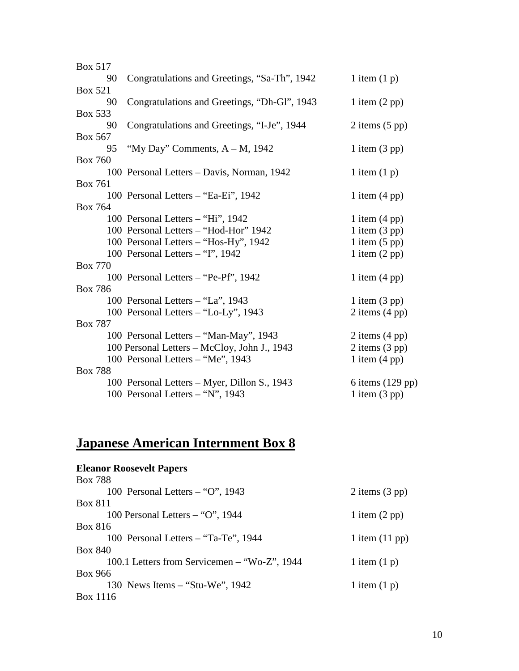| <b>Box 517</b> |                                              |                          |
|----------------|----------------------------------------------|--------------------------|
| 90             | Congratulations and Greetings, "Sa-Th", 1942 | 1 item $(1 p)$           |
| <b>Box 521</b> |                                              |                          |
| 90             | Congratulations and Greetings, "Dh-Gl", 1943 | 1 item $(2 \text{ pp})$  |
| <b>Box 533</b> |                                              |                          |
| 90             | Congratulations and Greetings, "I-Je", 1944  | 2 items $(5 \text{ pp})$ |
| Box 567        |                                              |                          |
| 95             | "My Day" Comments, $A - M$ , 1942            | 1 item $(3 \text{ pp})$  |
| <b>Box 760</b> |                                              |                          |
|                | 100 Personal Letters - Davis, Norman, 1942   | 1 item $(1 p)$           |
| <b>Box 761</b> |                                              |                          |
|                | 100 Personal Letters – "Ea-Ei", 1942         | 1 item $(4 \text{ pp})$  |
| <b>Box 764</b> |                                              |                          |
|                | 100 Personal Letters – "Hi", 1942            | 1 item $(4 \text{ pp})$  |
|                | 100 Personal Letters - "Hod-Hor" 1942        | 1 item $(3 \text{ pp})$  |
|                | 100 Personal Letters - "Hos-Hy", 1942        | 1 item $(5 \text{ pp})$  |
|                | 100 Personal Letters - "I", 1942             | 1 item $(2 \text{ pp})$  |
| <b>Box 770</b> |                                              |                          |
|                | 100 Personal Letters – "Pe-Pf", 1942         | 1 item $(4 \text{ pp})$  |
| <b>Box 786</b> |                                              |                          |
|                | 100 Personal Letters – "La", 1943            | 1 item $(3 \text{ pp})$  |
|                | 100 Personal Letters - "Lo-Ly", 1943         | 2 items $(4 \text{ pp})$ |
| <b>Box 787</b> |                                              |                          |
|                | 100 Personal Letters - "Man-May", 1943       | 2 items $(4 \text{ pp})$ |
|                | 100 Personal Letters - McCloy, John J., 1943 | 2 items (3 pp)           |
|                | 100 Personal Letters - "Me", 1943            | 1 item $(4 \text{ pp})$  |
| <b>Box 788</b> |                                              |                          |
|                | 100 Personal Letters - Myer, Dillon S., 1943 | 6 items $(129$ pp)       |
|                | 100 Personal Letters - "N", 1943             | 1 item $(3 pp)$          |

## **Japanese American Internment Box 8**

#### **Eleanor Roosevelt Papers** Box 788 100 Personal Letters – "O", 1943 2 items (3 pp) Box 811 100 Personal Letters – "O", 1944 1 item (2 pp) Box 816 100 Personal Letters – "Ta-Te", 1944 1 item (11 pp) Box 840 100.1 Letters from Servicemen – "Wo-Z", 1944  $1$  item (1 p) Box 966 130 News Items – "Stu-We", 1942 1 item (1 p) Box 1116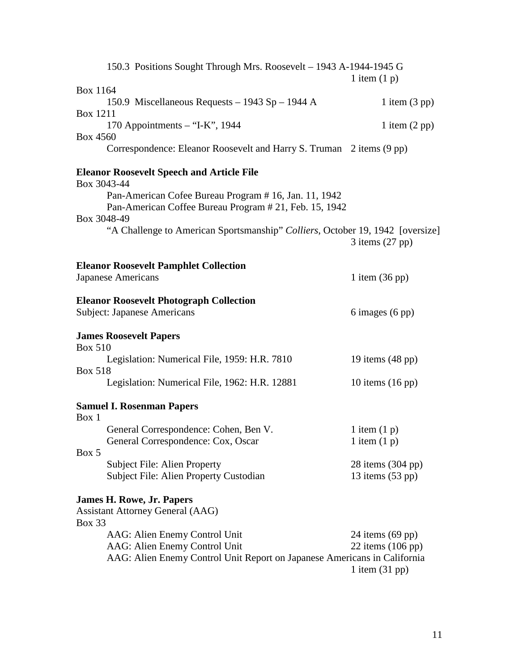|                 | 150.3 Positions Sought Through Mrs. Roosevelt - 1943 A-1944-1945 G                                                                         | 1 item $(1 p)$                                    |
|-----------------|--------------------------------------------------------------------------------------------------------------------------------------------|---------------------------------------------------|
| <b>Box 1164</b> |                                                                                                                                            |                                                   |
|                 | 150.9 Miscellaneous Requests - 1943 Sp - 1944 A                                                                                            | 1 item $(3 \text{ pp})$                           |
| <b>Box 1211</b> | 170 Appointments $-$ "I-K", 1944                                                                                                           | 1 item $(2 \text{ pp})$                           |
| <b>Box 4560</b> | Correspondence: Eleanor Roosevelt and Harry S. Truman 2 items (9 pp)                                                                       |                                                   |
| Box 3043-44     | <b>Eleanor Roosevelt Speech and Article File</b>                                                                                           |                                                   |
|                 | Pan-American Cofee Bureau Program # 16, Jan. 11, 1942<br>Pan-American Coffee Bureau Program # 21, Feb. 15, 1942                            |                                                   |
| Box 3048-49     | "A Challenge to American Sportsmanship" Colliers, October 19, 1942 [oversize]                                                              | $3$ items $(27$ pp)                               |
|                 | <b>Eleanor Roosevelt Pamphlet Collection</b>                                                                                               |                                                   |
|                 | <b>Japanese Americans</b>                                                                                                                  | 1 item $(36 \text{ pp})$                          |
|                 | <b>Eleanor Roosevelt Photograph Collection</b>                                                                                             |                                                   |
|                 | <b>Subject: Japanese Americans</b>                                                                                                         | $6$ images $(6$ pp)                               |
| <b>Box 510</b>  | <b>James Roosevelt Papers</b>                                                                                                              |                                                   |
| <b>Box 518</b>  | Legislation: Numerical File, 1959: H.R. 7810                                                                                               | 19 items $(48 \text{ pp})$                        |
|                 | Legislation: Numerical File, 1962: H.R. 12881                                                                                              | 10 items $(16 \text{ pp})$                        |
| Box 1           | <b>Samuel I. Rosenman Papers</b>                                                                                                           |                                                   |
|                 | General Correspondence: Cohen, Ben V.<br>General Correspondence: Cox, Oscar                                                                | 1 item $(1 p)$<br>1 item $(1 p)$                  |
| Box 5           | <b>Subject File: Alien Property</b><br>Subject File: Alien Property Custodian                                                              | 28 items (304 pp)<br>13 items $(53 \text{ pp})$   |
|                 |                                                                                                                                            |                                                   |
| <b>Box 33</b>   | <b>James H. Rowe, Jr. Papers</b><br><b>Assistant Attorney General (AAG)</b>                                                                |                                                   |
|                 | AAG: Alien Enemy Control Unit<br>AAG: Alien Enemy Control Unit<br>AAG: Alien Enemy Control Unit Report on Japanese Americans in California | 24 items $(69$ pp)<br>22 items $(106 \text{ pp})$ |
|                 |                                                                                                                                            | 1 item $(31$ pp)                                  |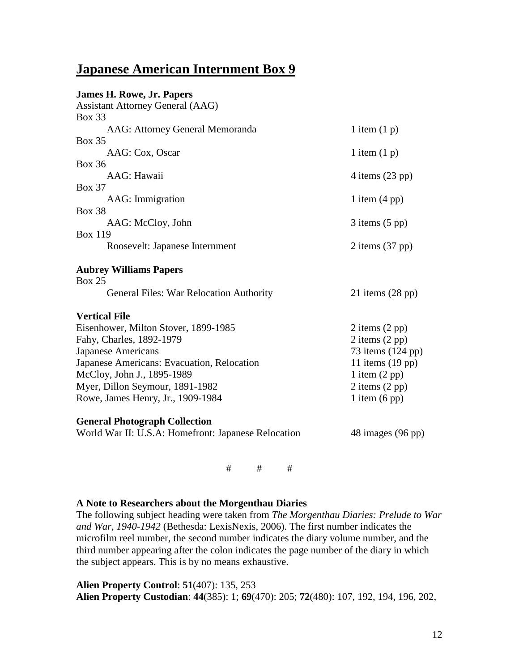## **Japanese American Internment Box 9**

| <b>James H. Rowe, Jr. Papers</b><br><b>Assistant Attorney General (AAG)</b> |                            |
|-----------------------------------------------------------------------------|----------------------------|
| <b>Box 33</b>                                                               |                            |
| AAG: Attorney General Memoranda                                             | 1 item $(1 p)$             |
| <b>Box 35</b><br>AAG: Cox, Oscar                                            | 1 item $(1 p)$             |
| <b>Box 36</b>                                                               |                            |
| AAG: Hawaii                                                                 | 4 items $(23 \text{ pp})$  |
| <b>Box 37</b>                                                               |                            |
| AAG: Immigration                                                            | 1 item $(4 \text{ pp})$    |
| <b>Box 38</b>                                                               |                            |
| AAG: McCloy, John                                                           | $3$ items $(5$ pp)         |
| <b>Box 119</b>                                                              |                            |
| Roosevelt: Japanese Internment                                              | $2$ items $(37$ pp)        |
| <b>Aubrey Williams Papers</b><br><b>Box 25</b>                              |                            |
| <b>General Files: War Relocation Authority</b>                              | 21 items $(28 \text{ pp})$ |
| <b>Vertical File</b>                                                        |                            |
| Eisenhower, Milton Stover, 1899-1985                                        | $2$ items $(2$ pp)         |
| Fahy, Charles, 1892-1979                                                    | $2$ items $(2$ pp)         |
| <b>Japanese Americans</b>                                                   | 73 items (124 pp)          |
| Japanese Americans: Evacuation, Relocation                                  | 11 items $(19$ pp)         |
| McCloy, John J., 1895-1989                                                  | 1 item $(2 \text{ pp})$    |
| Myer, Dillon Seymour, 1891-1982                                             | 2 items $(2 \text{ pp})$   |
| Rowe, James Henry, Jr., 1909-1984                                           | 1 item $(6 \text{ pp})$    |
| <b>General Photograph Collection</b>                                        |                            |
| World War II: U.S.A: Homefront: Japanese Relocation                         | 48 images (96 pp)          |

# # #

#### **A Note to Researchers about the Morgenthau Diaries**

The following subject heading were taken from *The Morgenthau Diaries: Prelude to War and War, 1940-1942* (Bethesda: LexisNexis, 2006). The first number indicates the microfilm reel number, the second number indicates the diary volume number, and the third number appearing after the colon indicates the page number of the diary in which the subject appears. This is by no means exhaustive.

**Alien Property Control**: **51**(407): 135, 253 **Alien Property Custodian**: **44**(385): 1; **69**(470): 205; **72**(480): 107, 192, 194, 196, 202,